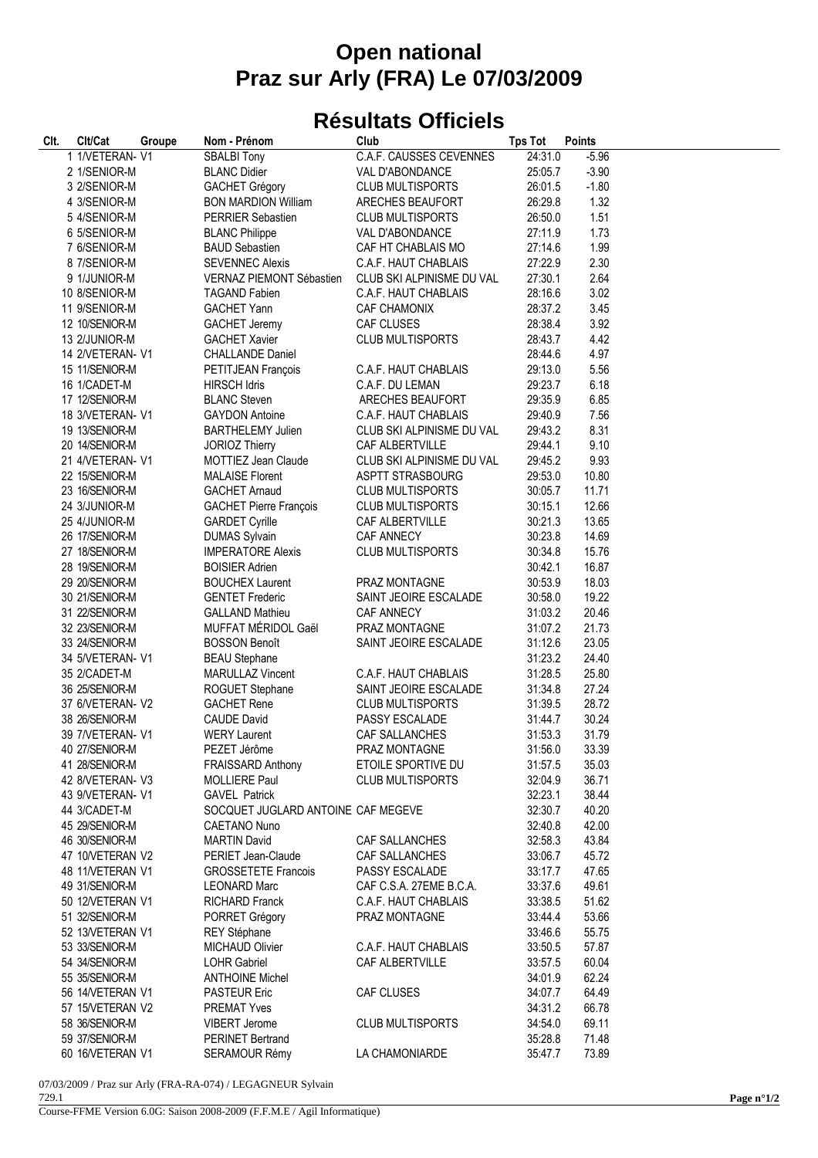## **Open national Praz sur Arly (FRA) Le 07/03/2009**

## **Résultats Officiels**

| CIt. | Clt/Cat          | Groupe | Nom - Prénom                       | Club                      | <b>Tps Tot</b> | <b>Points</b> |
|------|------------------|--------|------------------------------------|---------------------------|----------------|---------------|
|      | 1 1/VETERAN- V1  |        | <b>SBALBI Tony</b>                 | C.A.F. CAUSSES CEVENNES   | 24:31.0        | $-5.96$       |
|      | 2 1/SENIOR-M     |        | <b>BLANC Didier</b>                | VAL D'ABONDANCE           | 25:05.7        | $-3.90$       |
|      | 3 2/SENIOR-M     |        | <b>GACHET Grégory</b>              | <b>CLUB MULTISPORTS</b>   | 26:01.5        | $-1.80$       |
|      | 4 3/SENIOR-M     |        | <b>BON MARDION William</b>         | ARECHES BEAUFORT          | 26:29.8        | 1.32          |
|      | 5 4/SENIOR-M     |        | <b>PERRIER Sebastien</b>           | <b>CLUB MULTISPORTS</b>   | 26:50.0        | 1.51          |
|      | 6 5/SENIOR-M     |        | <b>BLANC Philippe</b>              | VAL D'ABONDANCE           | 27:11.9        | 1.73          |
|      | 7 6/SENIOR-M     |        | <b>BAUD Sebastien</b>              | CAF HT CHABLAIS MO        | 27:14.6        | 1.99          |
|      | 8 7/SENIOR-M     |        | <b>SEVENNEC Alexis</b>             | C.A.F. HAUT CHABLAIS      | 27:22.9        | 2.30          |
|      | 9 1/JUNIOR-M     |        | VERNAZ PIEMONT Sébastien           | CLUB SKI ALPINISME DU VAL | 27:30.1        | 2.64          |
|      | 10 8/SENIOR-M    |        | <b>TAGAND Fabien</b>               | C.A.F. HAUT CHABLAIS      | 28:16.6        | 3.02          |
|      | 11 9/SENIOR-M    |        | <b>GACHET Yann</b>                 | <b>CAF CHAMONIX</b>       | 28:37.2        | 3.45          |
|      | 12 10/SENIOR-M   |        | <b>GACHET Jeremy</b>               | CAF CLUSES                | 28:38.4        | 3.92          |
|      | 13 2/JUNIOR-M    |        | <b>GACHET Xavier</b>               | <b>CLUB MULTISPORTS</b>   | 28:43.7        | 4.42          |
|      | 14 2/VETERAN- V1 |        | <b>CHALLANDE Daniel</b>            |                           | 28:44.6        | 4.97          |
|      | 15 11/SENIOR-M   |        | PETITJEAN François                 | C.A.F. HAUT CHABLAIS      | 29:13.0        | 5.56          |
|      | 16 1/CADET-M     |        | <b>HIRSCH Idris</b>                | C.A.F. DU LEMAN           | 29:23.7        | 6.18          |
|      | 17 12/SENIOR-M   |        | <b>BLANC Steven</b>                | ARECHES BEAUFORT          | 29:35.9        | 6.85          |
|      | 18 3/VETERAN- V1 |        | <b>GAYDON Antoine</b>              | C.A.F. HAUT CHABLAIS      | 29:40.9        | 7.56          |
|      | 19 13/SENIOR-M   |        | <b>BARTHELEMY Julien</b>           | CLUB SKI ALPINISME DU VAL | 29:43.2        | 8.31          |
|      | 20 14/SENIOR-M   |        | <b>JORIOZ Thierry</b>              | CAF ALBERTVILLE           | 29:44.1        | 9.10          |
|      | 21 4/VETERAN- V1 |        | MOTTIEZ Jean Claude                | CLUB SKI ALPINISME DU VAL | 29:45.2        | 9.93          |
|      | 22 15/SENIOR-M   |        | <b>MALAISE Florent</b>             | ASPTT STRASBOURG          | 29:53.0        | 10.80         |
|      | 23 16/SENIOR-M   |        | <b>GACHET Arnaud</b>               | <b>CLUB MULTISPORTS</b>   | 30:05.7        | 11.71         |
|      | 24 3/JUNIOR-M    |        | <b>GACHET Pierre François</b>      | <b>CLUB MULTISPORTS</b>   | 30:15.1        | 12.66         |
|      | 25 4/JUNIOR-M    |        | <b>GARDET Cyrille</b>              | CAF ALBERTVILLE           | 30:21.3        | 13.65         |
|      | 26 17/SENIOR-M   |        | <b>DUMAS Sylvain</b>               | CAF ANNECY                | 30:23.8        | 14.69         |
|      | 27 18/SENIOR-M   |        | <b>IMPERATORE Alexis</b>           | <b>CLUB MULTISPORTS</b>   | 30:34.8        | 15.76         |
|      | 28 19/SENIOR-M   |        | <b>BOISIER Adrien</b>              |                           | 30:42.1        | 16.87         |
|      | 29 20/SENIOR-M   |        | <b>BOUCHEX Laurent</b>             | PRAZ MONTAGNE             | 30:53.9        | 18.03         |
|      | 30 21/SENIOR-M   |        | <b>GENTET Frederic</b>             | SAINT JEOIRE ESCALADE     | 30:58.0        | 19.22         |
|      | 31 22/SENIOR-M   |        | <b>GALLAND Mathieu</b>             | <b>CAF ANNECY</b>         | 31:03.2        | 20.46         |
|      | 32 23/SENIOR-M   |        | MUFFAT MÉRIDOL Gaël                | PRAZ MONTAGNE             | 31:07.2        | 21.73         |
|      | 33 24/SENIOR-M   |        | <b>BOSSON Benoît</b>               | SAINT JEOIRE ESCALADE     | 31:12.6        | 23.05         |
|      | 34 5/VETERAN-V1  |        | <b>BEAU Stephane</b>               |                           | 31:23.2        | 24.40         |
|      | 35 2/CADET-M     |        | <b>MARULLAZ Vincent</b>            | C.A.F. HAUT CHABLAIS      | 31:28.5        | 25.80         |
|      | 36 25/SENIOR-M   |        | ROGUET Stephane                    | SAINT JEOIRE ESCALADE     | 31:34.8        | 27.24         |
|      | 37 6/VETERAN- V2 |        | <b>GACHET Rene</b>                 | <b>CLUB MULTISPORTS</b>   | 31:39.5        | 28.72         |
|      | 38 26/SENIOR-M   |        | <b>CAUDE David</b>                 | PASSY ESCALADE            | 31:44.7        | 30.24         |
|      | 39 7/VETERAN-V1  |        | <b>WERY Laurent</b>                | CAF SALLANCHES            | 31:53.3        | 31.79         |
|      | 40 27/SENIOR-M   |        | PEZET Jérôme                       | PRAZ MONTAGNE             | 31:56.0        | 33.39         |
|      | 41 28/SENIOR-M   |        | <b>FRAISSARD Anthony</b>           | ETOILE SPORTIVE DU        | 31:57.5        | 35.03         |
|      | 42 8/VETERAN-V3  |        | <b>MOLLIERE Paul</b>               | <b>CLUB MULTISPORTS</b>   | 32:04.9        | 36.71         |
|      | 43 9/VETERAN- V1 |        | <b>GAVEL Patrick</b>               |                           | 32:23.1        | 38.44         |
|      | 44 3/CADET-M     |        | SOCQUET JUGLARD ANTOINE CAF MEGEVE |                           | 32:30.7        | 40.20         |
|      | 45 29/SENIOR-M   |        | CAETANO Nuno                       |                           | 32:40.8        | 42.00         |
|      | 46 30/SENIOR-M   |        | <b>MARTIN David</b>                | <b>CAF SALLANCHES</b>     | 32:58.3        | 43.84         |
|      | 47 10/VETERAN V2 |        | PERIET Jean-Claude                 | CAF SALLANCHES            | 33:06.7        | 45.72         |
|      | 48 11/VETERAN V1 |        | <b>GROSSETETE Francois</b>         | PASSY ESCALADE            | 33:17.7        | 47.65         |
|      | 49 31/SENIOR-M   |        | <b>LEONARD Marc</b>                | CAF C.S.A. 27EME B.C.A.   | 33:37.6        | 49.61         |
|      | 50 12/VETERAN V1 |        | <b>RICHARD Franck</b>              | C.A.F. HAUT CHABLAIS      | 33:38.5        | 51.62         |
|      | 51 32/SENIOR-M   |        | PORRET Grégory                     | PRAZ MONTAGNE             | 33:44.4        | 53.66         |
|      | 52 13/VETERAN V1 |        | <b>REY Stéphane</b>                |                           | 33:46.6        | 55.75         |
|      | 53 33/SENIOR-M   |        | <b>MICHAUD Olivier</b>             | C.A.F. HAUT CHABLAIS      | 33:50.5        | 57.87         |
|      | 54 34/SENIOR-M   |        | <b>LOHR Gabriel</b>                | CAF ALBERTVILLE           | 33:57.5        | 60.04         |
|      | 55 35/SENIOR-M   |        | <b>ANTHOINE Michel</b>             |                           | 34:01.9        | 62.24         |
|      | 56 14/VETERAN V1 |        | <b>PASTEUR Eric</b>                | <b>CAF CLUSES</b>         | 34:07.7        | 64.49         |
|      | 57 15/VETERAN V2 |        | <b>PREMAT Yves</b>                 |                           | 34:31.2        | 66.78         |
|      | 58 36/SENIOR-M   |        | <b>VIBERT Jerome</b>               | <b>CLUB MULTISPORTS</b>   | 34:54.0        | 69.11         |
|      | 59 37/SENIOR-M   |        | <b>PERINET Bertrand</b>            |                           | 35:28.8        | 71.48         |
|      | 60 16/VETERAN V1 |        | <b>SERAMOUR Rémy</b>               | LA CHAMONIARDE            | 35:47.7        | 73.89         |

07/03/2009 / Praz sur Arly (FRA-RA-074) / LEGAGNEUR Sylvain 729.1